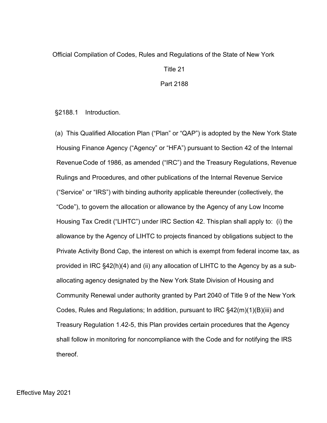## Official Compilation of Codes, Rules and Regulations of the State of New York

Title 21

Part 2188

§2188.1 Introduction.

(a) This Qualified Allocation Plan ("Plan" or "QAP") is adopted by the New York State Housing Finance Agency ("Agency" or "HFA") pursuant to Section 42 of the Internal RevenueCode of 1986, as amended ("IRC") and the Treasury Regulations, Revenue Rulings and Procedures, and other publications of the Internal Revenue Service ("Service" or "IRS") with binding authority applicable thereunder (collectively, the "Code"), to govern the allocation or allowance by the Agency of any Low Income Housing Tax Credit ("LIHTC") under IRC Section 42. Thisplan shall apply to: (i) the allowance by the Agency of LIHTC to projects financed by obligations subject to the Private Activity Bond Cap, the interest on which is exempt from federal income tax, as provided in IRC §42(h)(4) and (ii) any allocation of LIHTC to the Agency by as a suballocating agency designated by the New York State Division of Housing and Community Renewal under authority granted by Part 2040 of Title 9 of the New York Codes, Rules and Regulations; In addition, pursuant to IRC  $\S 42(m)(1)(B)(iii)$  and Treasury Regulation 1.42-5, this Plan provides certain procedures that the Agency shall follow in monitoring for noncompliance with the Code and for notifying the IRS thereof.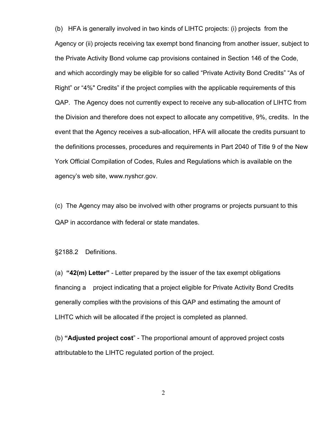(b) HFA is generally involved in two kinds of LIHTC projects: (i) projects from the Agency or (ii) projects receiving tax exempt bond financing from another issuer, subject to the Private Activity Bond volume cap provisions contained in Section 146 of the Code, and which accordingly may be eligible for so called "Private Activity Bond Credits" "As of Right" or "4%" Credits" if the project complies with the applicable requirements of this QAP. The Agency does not currently expect to receive any sub-allocation of LIHTC from the Division and therefore does not expect to allocate any competitive, 9%, credits. In the event that the Agency receives a sub-allocation, HFA will allocate the credits pursuant to the definitions processes, procedures and requirements in Part 2040 of Title 9 of the New York Official Compilation of Codes, Rules and Regulations which is available on the agency's web site, [www.nyshcr.gov.](http://www.nyshcr.gov/)

(c) The Agency may also be involved with other programs or projects pursuant to this QAP in accordance with federal or state mandates.

§2188.2 Definitions.

(a) **"42(m) Letter"** - Letter prepared by the issuer of the tax exempt obligations financing a project indicating that a project eligible for Private Activity Bond Credits generally complies with the provisions of this QAP and estimating the amount of LIHTC which will be allocated if the project is completed as planned.

(b) **"Adjusted project cost**" - The proportional amount of approved project costs attributable to the LIHTC regulated portion of the project.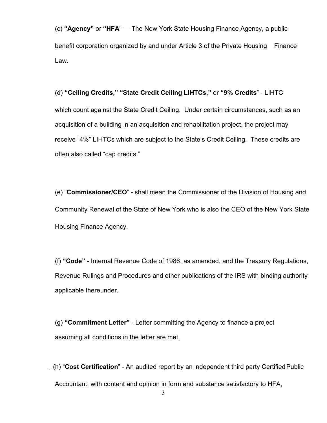(c) **"Agency"** or **"HFA**" — The New York State Housing Finance Agency, a public benefit corporation organized by and under Article 3 of the Private Housing Finance Law.

## (d) **"Ceiling Credits," "State Credit Ceiling LIHTCs,"** or **"9% Credits**" - LIHTC

which count against the State Credit Ceiling. Under certain circumstances, such as an acquisition of a building in an acquisition and rehabilitation project, the project may receive "4%" LIHTCs which are subject to the State's Credit Ceiling. These credits are often also called "cap credits."

(e) "**Commissioner/CEO**" - shall mean the Commissioner of the Division of Housing and Community Renewal of the State of New York who is also the CEO of the New York State Housing Finance Agency.

(f) **"Code" -** Internal Revenue Code of 1986, as amended, and the Treasury Regulations, Revenue Rulings and Procedures and other publications of the IRS with binding authority applicable thereunder.

(g) **"Commitment Letter"** - Letter committing the Agency to finance a project assuming all conditions in the letter are met.

 (h) "**Cost Certification**" - An audited report by an independent third party CertifiedPublic Accountant, with content and opinion in form and substance satisfactory to HFA,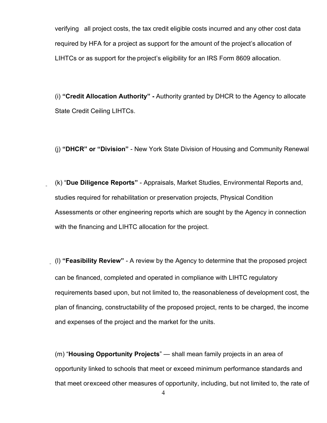verifying all project costs, the tax credit eligible costs incurred and any other cost data required by HFA for a project as support for the amount of the project's allocation of LIHTCs or as support for the project's eligibility for an IRS Form 8609 allocation.

(i) **"Credit Allocation Authority" -** Authority granted by DHCR to the Agency to allocate State Credit Ceiling LIHTCs.

(j) **"DHCR" or "Division"** - New York State Division of Housing and Community Renewal

(k) "**Due Diligence Reports"** - Appraisals, Market Studies, Environmental Reports and, studies required for rehabilitation or preservation projects, Physical Condition Assessments or other engineering reports which are sought by the Agency in connection with the financing and LIHTC allocation for the project.

(l) **"Feasibility Review"** - A review by the Agency to determine that the proposed project can be financed, completed and operated in compliance with LIHTC regulatory requirements based upon, but not limited to, the reasonableness of development cost, the plan of financing, constructability of the proposed project, rents to be charged, the income and expenses of the project and the market for the units.

(m) "**Housing Opportunity Projects**" — shall mean family projects in an area of opportunity linked to schools that meet or exceed minimum performance standards and that meet orexceed other measures of opportunity, including, but not limited to, the rate of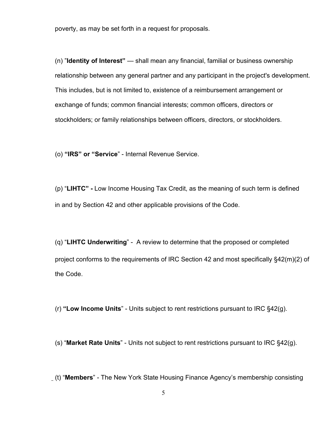poverty, as may be set forth in a request for proposals.

(n) "**Identity of Interest"** — shall mean any financial, familial or business ownership relationship between any general partner and any participant in the project's development. This includes, but is not limited to, existence of a reimbursement arrangement or exchange of funds; common financial interests; common officers, directors or stockholders; or family relationships between officers, directors, or stockholders.

(o) **"IRS" or "Service**" - Internal Revenue Service.

(p) "**LIHTC" -** Low Income Housing Tax Credit, as the meaning of such term is defined in and by Section 42 and other applicable provisions of the Code.

(q) "**LIHTC Underwriting**" - A review to determine that the proposed or completed project conforms to the requirements of IRC Section 42 and most specifically §42(m)(2) of the Code.

(r) **"Low Income Units**" - Units subject to rent restrictions pursuant to IRC §42(g).

(s) "**Market Rate Units**" - Units not subject to rent restrictions pursuant to IRC §42(g).

(t) "**Members**" - The New York State Housing Finance Agency's membership consisting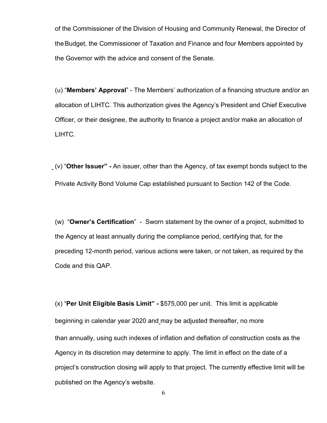of the Commissioner of the Division of Housing and Community Renewal, the Director of theBudget, the Commissioner of Taxation and Finance and four Members appointed by the Governor with the advice and consent of the Senate.

(u) "**Members' Approval**" - The Members' authorization of a financing structure and/or an allocation of LIHTC. This authorization gives the Agency's President and Chief Executive Officer, or their designee, the authority to finance a project and/or make an allocation of LIHTC.

(v) "**Other Issuer" -** An issuer, other than the Agency, of tax exempt bonds subject to the Private Activity Bond Volume Cap established pursuant to Section 142 of the Code.

(w) "**Owner's Certification**" - Sworn statement by the owner of a project, submitted to the Agency at least annually during the compliance period, certifying that, for the preceding 12-month period, various actions were taken, or not taken, as required by the Code and this QAP.

(x) "**Per Unit Eligible Basis Limit" -** \$575,000 per unit. This limit is applicable beginning in calendar year 2020 and may be adjusted thereafter, no more than annually, using such indexes of inflation and deflation of construction costs as the Agency in its discretion may determine to apply. The limit in effect on the date of a project's construction closing will apply to that project. The currently effective limit will be published on the Agency's website.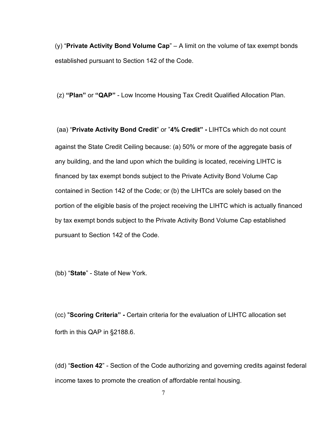(y) "**Private Activity Bond Volume Cap**" – A limit on the volume of tax exempt bonds established pursuant to Section 142 of the Code.

(z) **"Plan"** or **"QAP"** - Low Income Housing Tax Credit Qualified Allocation Plan.

(aa) "**Private Activity Bond Credit**" or "**4% Credit" -** LIHTCs which do not count against the State Credit Ceiling because: (a) 50% or more of the aggregate basis of any building, and the land upon which the building is located, receiving LIHTC is financed by tax exempt bonds subject to the Private Activity Bond Volume Cap contained in Section 142 of the Code; or (b) the LIHTCs are solely based on the portion of the eligible basis of the project receiving the LIHTC which is actually financed by tax exempt bonds subject to the Private Activity Bond Volume Cap established pursuant to Section 142 of the Code.

(bb) "**State**" - State of New York.

(cc) "**Scoring Criteria" -** Certain criteria for the evaluation of LIHTC allocation set forth in this QAP in §2188.6.

(dd) "**Section 42**" - Section of the Code authorizing and governing credits against federal income taxes to promote the creation of affordable rental housing.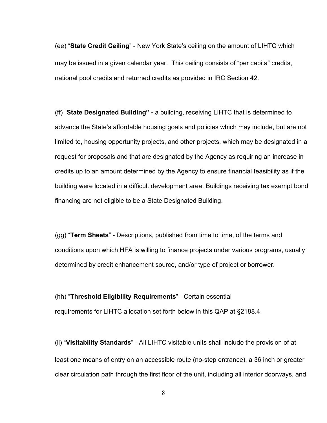(ee) "**State Credit Ceiling**" - New York State's ceiling on the amount of LIHTC which may be issued in a given calendar year. This ceiling consists of "per capita" credits, national pool credits and returned credits as provided in IRC Section 42.

(ff) "**State Designated Building" -** a building, receiving LIHTC that is determined to advance the State's affordable housing goals and policies which may include, but are not limited to, housing opportunity projects, and other projects, which may be designated in a request for proposals and that are designated by the Agency as requiring an increase in credits up to an amount determined by the Agency to ensure financial feasibility as if the building were located in a difficult development area. Buildings receiving tax exempt bond financing are not eligible to be a State Designated Building.

(gg) "**Term Sheets**" - Descriptions, published from time to time, of the terms and conditions upon which HFA is willing to finance projects under various programs, usually determined by credit enhancement source, and/or type of project or borrower.

## (hh) "**Threshold Eligibility Requirements**" - Certain essential

requirements for LIHTC allocation set forth below in this QAP at §2188.4.

(ii) "**Visitability Standards**" - All LIHTC visitable units shall include the provision of at least one means of entry on an accessible route (no-step entrance), a 36 inch or greater clear circulation path through the first floor of the unit, including all interior doorways, and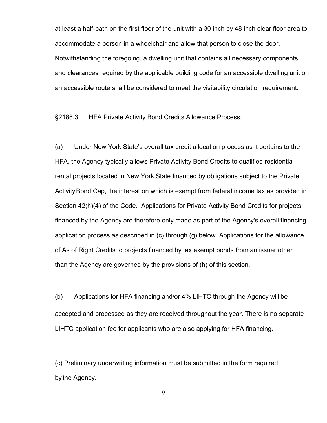at least a half-bath on the first floor of the unit with a 30 inch by 48 inch clear floor area to accommodate a person in a wheelchair and allow that person to close the door. Notwithstanding the foregoing, a dwelling unit that contains all necessary components and clearances required by the applicable building code for an accessible dwelling unit on an accessible route shall be considered to meet the visitability circulation requirement.

§2188.3 HFA Private Activity Bond Credits Allowance Process.

(a) Under New York State's overall tax credit allocation process as it pertains to the HFA, the Agency typically allows Private Activity Bond Credits to qualified residential rental projects located in New York State financed by obligations subject to the Private ActivityBond Cap, the interest on which is exempt from federal income tax as provided in Section 42(h)(4) of the Code. Applications for Private Activity Bond Credits for projects financed by the Agency are therefore only made as part of the Agency's overall financing application process as described in (c) through (g) below. Applications for the allowance of As of Right Credits to projects financed by tax exempt bonds from an issuer other than the Agency are governed by the provisions of (h) of this section.

(b) Applications for HFA financing and/or 4% LIHTC through the Agency will be accepted and processed as they are received throughout the year. There is no separate LIHTC application fee for applicants who are also applying for HFA financing.

(c) Preliminary underwriting information must be submitted in the form required by the Agency.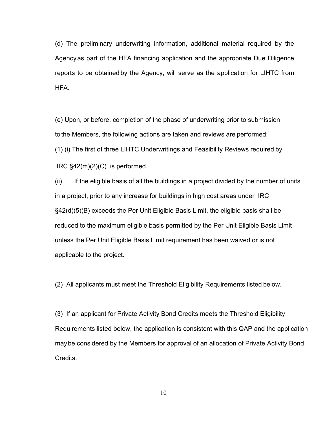(d) The preliminary underwriting information, additional material required by the Agency as part of the HFA financing application and the appropriate Due Diligence reports to be obtained by the Agency, will serve as the application for LIHTC from HFA.

(e) Upon, or before, completion of the phase of underwriting prior to submission to the Members, the following actions are taken and reviews are performed: (1) (i) The first of three LIHTC Underwritings and Feasibility Reviews required by IRC §42(m)(2)(C) is performed.

(ii) If the eligible basis of all the buildings in a project divided by the number of units in a project, prior to any increase for buildings in high cost areas under IRC §42(d)(5)(B) exceeds the Per Unit Eligible Basis Limit, the eligible basis shall be reduced to the maximum eligible basis permitted by the Per Unit Eligible Basis Limit unless the Per Unit Eligible Basis Limit requirement has been waived or is not applicable to the project.

(2) All applicants must meet the Threshold Eligibility Requirements listed below.

(3) If an applicant for Private Activity Bond Credits meets the Threshold Eligibility Requirements listed below, the application is consistent with this QAP and the application maybe considered by the Members for approval of an allocation of Private Activity Bond Credits.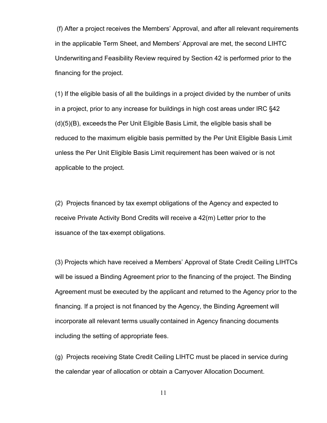(f) After a project receives the Members' Approval, and after all relevant requirements in the applicable Term Sheet, and Members' Approval are met, the second LIHTC Underwriting and Feasibility Review required by Section 42 is performed prior to the financing for the project.

(1) If the eligible basis of all the buildings in a project divided by the number of units in a project, prior to any increase for buildings in high cost areas under IRC §42 (d)(5)(B), exceeds the Per Unit Eligible Basis Limit, the eligible basis shall be reduced to the maximum eligible basis permitted by the Per Unit Eligible Basis Limit unless the Per Unit Eligible Basis Limit requirement has been waived or is not applicable to the project.

(2) Projects financed by tax exempt obligations of the Agency and expected to receive Private Activity Bond Credits will receive a 42(m) Letter prior to the issuance of the tax-exempt obligations.

(3) Projects which have received a Members' Approval of State Credit Ceiling LIHTCs will be issued a Binding Agreement prior to the financing of the project. The Binding Agreement must be executed by the applicant and returned to the Agency prior to the financing. If a project is not financed by the Agency, the Binding Agreement will incorporate all relevant terms usually contained in Agency financing documents including the setting of appropriate fees.

(g) Projects receiving State Credit Ceiling LIHTC must be placed in service during the calendar year of allocation or obtain a Carryover Allocation Document.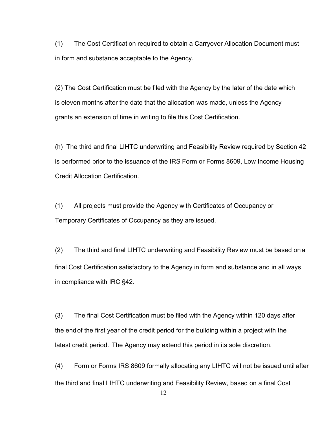(1) The Cost Certification required to obtain a Carryover Allocation Document must in form and substance acceptable to the Agency.

(2) The Cost Certification must be filed with the Agency by the later of the date which is eleven months after the date that the allocation was made, unless the Agency grants an extension of time in writing to file this Cost Certification.

(h) The third and final LIHTC underwriting and Feasibility Review required by Section 42 is performed prior to the issuance of the IRS Form or Forms 8609, Low Income Housing Credit Allocation Certification.

(1) All projects must provide the Agency with Certificates of Occupancy or Temporary Certificates of Occupancy as they are issued.

(2) The third and final LIHTC underwriting and Feasibility Review must be based on a final Cost Certification satisfactory to the Agency in form and substance and in all ways in compliance with IRC §42.

(3) The final Cost Certification must be filed with the Agency within 120 days after the endof the first year of the credit period for the building within a project with the latest credit period. The Agency may extend this period in its sole discretion.

(4) Form or Forms IRS 8609 formally allocating any LIHTC will not be issued until after the third and final LIHTC underwriting and Feasibility Review, based on a final Cost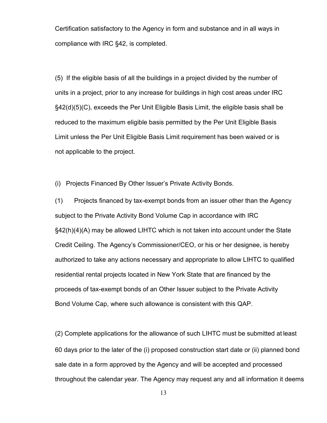Certification satisfactory to the Agency in form and substance and in all ways in compliance with IRC §42, is completed.

(5) If the eligible basis of all the buildings in a project divided by the number of units in a project, prior to any increase for buildings in high cost areas under IRC §42(d)(5)(C), exceeds the Per Unit Eligible Basis Limit, the eligible basis shall be reduced to the maximum eligible basis permitted by the Per Unit Eligible Basis Limit unless the Per Unit Eligible Basis Limit requirement has been waived or is not applicable to the project.

(i) Projects Financed By Other Issuer's Private Activity Bonds.

(1) Projects financed by tax-exempt bonds from an issuer other than the Agency subject to the Private Activity Bond Volume Cap in accordance with IRC §42(h)(4)(A) may be allowed LIHTC which is not taken into account under the State Credit Ceiling. The Agency's Commissioner/CEO, or his or her designee, is hereby authorized to take any actions necessary and appropriate to allow LIHTC to qualified residential rental projects located in New York State that are financed by the proceeds of tax-exempt bonds of an Other Issuer subject to the Private Activity Bond Volume Cap, where such allowance is consistent with this QAP.

(2) Complete applications for the allowance of such LIHTC must be submitted at least 60 days prior to the later of the (i) proposed construction start date or (ii) planned bond sale date in a form approved by the Agency and will be accepted and processed throughout the calendar year. The Agency may request any and all information it deems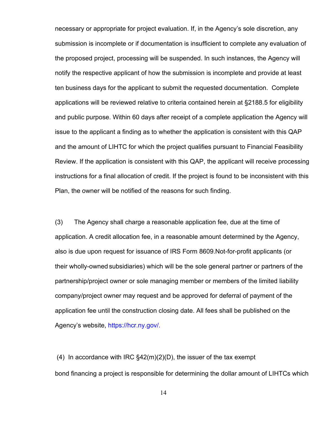necessary or appropriate for project evaluation. If, in the Agency's sole discretion, any submission is incomplete or if documentation is insufficient to complete any evaluation of the proposed project, processing will be suspended. In such instances, the Agency will notify the respective applicant of how the submission is incomplete and provide at least ten business days for the applicant to submit the requested documentation. Complete applications will be reviewed relative to criteria contained herein at §2188.5 for eligibility and public purpose. Within 60 days after receipt of a complete application the Agency will issue to the applicant a finding as to whether the application is consistent with this QAP and the amount of LIHTC for which the project qualifies pursuant to Financial Feasibility Review. If the application is consistent with this QAP, the applicant will receive processing instructions for a final allocation of credit. If the project is found to be inconsistent with this Plan, the owner will be notified of the reasons for such finding.

(3) The Agency shall charge a reasonable application fee, due at the time of application. A credit allocation fee, in a reasonable amount determined by the Agency, also is due upon request for issuance of IRS Form 8609.Not-for-profit applicants (or their wholly-owned subsidiaries) which will be the sole general partner or partners of the partnership/project owner or sole managing member or members of the limited liability company/project owner may request and be approved for deferral of payment of the application fee until the construction closing date. All fees shall be published on the Agency's website, [https://hcr.ny.gov/.](https://hcr.ny.gov/)

(4) In accordance with IRC  $\S$ 42(m)(2)(D), the issuer of the tax exempt bond financing a project is responsible for determining the dollar amount of LIHTCs which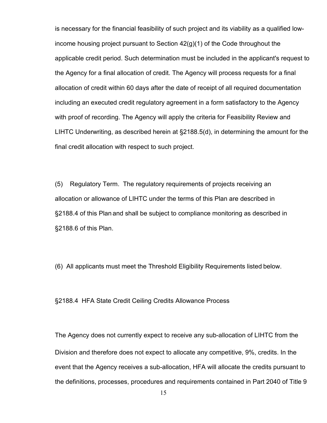is necessary for the financial feasibility of such project and its viability as a qualified lowincome housing project pursuant to Section 42(g)(1) of the Code throughout the applicable credit period. Such determination must be included in the applicant's request to the Agency for a final allocation of credit. The Agency will process requests for a final allocation of credit within 60 days after the date of receipt of all required documentation including an executed credit regulatory agreement in a form satisfactory to the Agency with proof of recording. The Agency will apply the criteria for Feasibility Review and LIHTC Underwriting, as described herein at §2188.5(d), in determining the amount for the final credit allocation with respect to such project.

(5) Regulatory Term. The regulatory requirements of projects receiving an allocation or allowance of LIHTC under the terms of this Plan are described in §2188.4 of this Plan and shall be subject to compliance monitoring as described in §2188.6 of this Plan.

(6) All applicants must meet the Threshold Eligibility Requirements listed below.

§2188.4 HFA State Credit Ceiling Credits Allowance Process

The Agency does not currently expect to receive any sub-allocation of LIHTC from the Division and therefore does not expect to allocate any competitive, 9%, credits. In the event that the Agency receives a sub-allocation, HFA will allocate the credits pursuant to the definitions, processes, procedures and requirements contained in Part 2040 of Title 9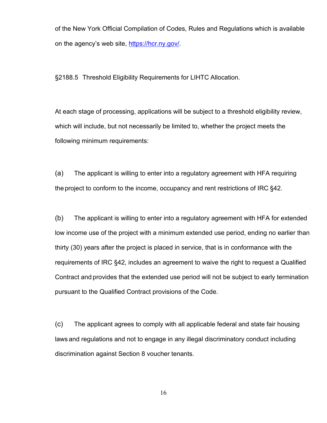of the New York Official Compilation of Codes, Rules and Regulations which is available on the agency's web site, [https://hcr.ny.gov/.](https://hcr.ny.gov/)

§2188.5 Threshold Eligibility Requirements for LIHTC Allocation.

At each stage of processing, applications will be subject to a threshold eligibility review, which will include, but not necessarily be limited to, whether the project meets the following minimum requirements:

(a) The applicant is willing to enter into a regulatory agreement with HFA requiring the project to conform to the income, occupancy and rent restrictions of IRC §42.

(b) The applicant is willing to enter into a regulatory agreement with HFA for extended low income use of the project with a minimum extended use period, ending no earlier than thirty (30) years after the project is placed in service, that is in conformance with the requirements of IRC §42, includes an agreement to waive the right to request a Qualified Contract and provides that the extended use period will not be subject to early termination pursuant to the Qualified Contract provisions of the Code.

(c) The applicant agrees to comply with all applicable federal and state fair housing laws and regulations and not to engage in any illegal discriminatory conduct including discrimination against Section 8 voucher tenants.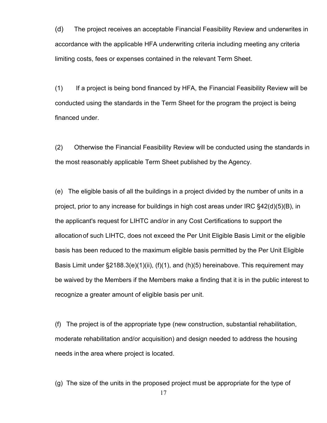(d) The project receives an acceptable Financial Feasibility Review and underwrites in accordance with the applicable HFA underwriting criteria including meeting any criteria limiting costs, fees or expenses contained in the relevant Term Sheet.

(1) If a project is being bond financed by HFA, the Financial Feasibility Review will be conducted using the standards in the Term Sheet for the program the project is being financed under.

(2) Otherwise the Financial Feasibility Review will be conducted using the standards in the most reasonably applicable Term Sheet published by the Agency.

(e) The eligible basis of all the buildings in a project divided by the number of units in a project, prior to any increase for buildings in high cost areas under IRC §42(d)(5)(B), in the applicant's request for LIHTC and/or in any Cost Certifications to support the allocationof such LIHTC, does not exceed the Per Unit Eligible Basis Limit or the eligible basis has been reduced to the maximum eligible basis permitted by the Per Unit Eligible Basis Limit under  $\S2188.3(e)(1)(ii)$ , (f)(1), and (h)(5) hereinabove. This requirement may be waived by the Members if the Members make a finding that it is in the public interest to recognize a greater amount of eligible basis per unit.

(f) The project is of the appropriate type (new construction, substantial rehabilitation, moderate rehabilitation and/or acquisition) and design needed to address the housing needs inthe area where project is located.

(g) The size of the units in the proposed project must be appropriate for the type of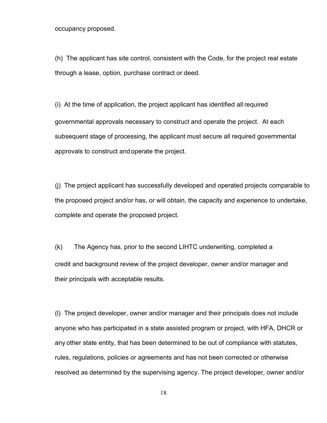occupancy proposed.

(h) The applicant has site control, consistent with the Code, for the project real estate through a lease, option, purchase contract or deed.

(i) At the time of application, the project applicant has identified all required governmental approvals necessary to construct and operate the project. At each subsequent stage of processing, the applicant must secure all required governmental approvals to construct andoperate the project.

(j) The project applicant has successfully developed and operated projects comparable to the proposed project and/or has, or will obtain, the capacity and experience to undertake, complete and operate the proposed project.

(k) The Agency has, prior to the second LIHTC underwriting, completed a credit and background review of the project developer, owner and/or manager and their principals with acceptable results.

(l) The project developer, owner and/or manager and their principals does not include anyone who has participated in a state assisted program or project, with HFA, DHCR or any other state entity, that has been determined to be out of compliance with statutes, rules, regulations, policies or agreements and has not been corrected or otherwise resolved as determined by the supervising agency. The project developer, owner and/or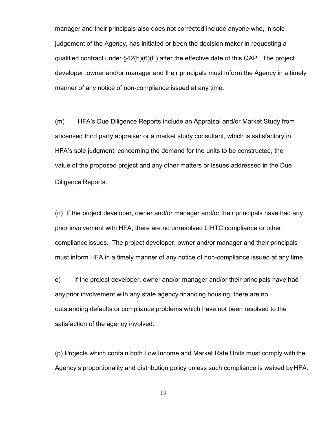manager and their principals also does not corrected include anyone who, in sole judgement of the Agency, has initiated or been the decision maker in requesting a qualified contract under §42(h)(6)(F) after the effective date of this QAP. The project developer, owner and/or manager and their principals must inform the Agency in a timely manner of any notice of non-compliance issued at any time.

(m) HFA's Due Diligence Reports include an Appraisal and/or Market Study from alicensed third party appraiser or a market study consultant, which is satisfactory in HFA's sole judgment, concerning the demand for the units to be constructed, the value of the proposed project and any other matters or issues addressed in the Due Diligence Reports.

(n) If the project developer, owner and/or manager and/or their principals have had any prior involvement with HFA, there are no unresolved LIHTC compliance or other compliance issues. The project developer, owner and/or manager and their principals must inform HFA in a timely manner of any notice of non-compliance issued at any time.

o) If the project developer, owner and/or manager and/or their principals have had anyprior involvement with any state agency financing housing, there are no outstanding defaults or compliance problems which have not been resolved to the satisfaction of the agency involved.

(p) Projects which contain both Low Income and Market Rate Units must comply with the Agency's proportionality and distribution policy unless such compliance is waived byHFA.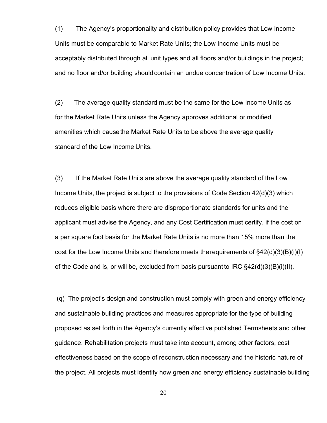(1) The Agency's proportionality and distribution policy provides that Low Income Units must be comparable to Market Rate Units; the Low Income Units must be acceptably distributed through all unit types and all floors and/or buildings in the project; and no floor and/or building should contain an undue concentration of Low Income Units.

(2) The average quality standard must be the same for the Low Income Units as for the Market Rate Units unless the Agency approves additional or modified amenities which causethe Market Rate Units to be above the average quality standard of the Low Income Units.

(3) If the Market Rate Units are above the average quality standard of the Low Income Units, the project is subject to the provisions of Code Section 42(d)(3) which reduces eligible basis where there are disproportionate standards for units and the applicant must advise the Agency, and any Cost Certification must certify, if the cost on a per square foot basis for the Market Rate Units is no more than 15% more than the cost for the Low Income Units and therefore meets the requirements of  $\S42(d)(3)(B)(i)(I)$ of the Code and is, or will be, excluded from basis pursuant to IRC §42(d)(3)(B)(i)(II).

(q) The project's design and construction must comply with green and energy efficiency and sustainable building practices and measures appropriate for the type of building proposed as set forth in the Agency's currently effective published Termsheets and other guidance. Rehabilitation projects must take into account, among other factors, cost effectiveness based on the scope of reconstruction necessary and the historic nature of the project. All projects must identify how green and energy efficiency sustainable building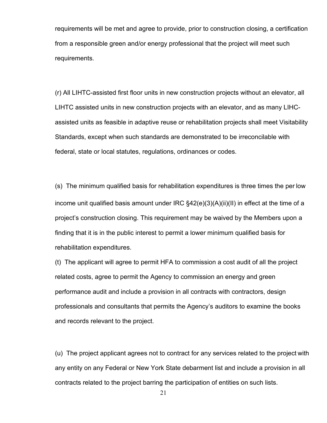requirements will be met and agree to provide, prior to construction closing, a certification from a responsible green and/or energy professional that the project will meet such requirements.

(r) All LIHTC-assisted first floor units in new construction projects without an elevator, all LIHTC assisted units in new construction projects with an elevator, and as many LIHCassisted units as feasible in adaptive reuse or rehabilitation projects shall meet Visitability Standards, except when such standards are demonstrated to be irreconcilable with federal, state or local statutes, regulations, ordinances or codes.

(s) The minimum qualified basis for rehabilitation expenditures is three times the per low income unit qualified basis amount under IRC §42(e)(3)(A)(ii)(II) in effect at the time of a project's construction closing. This requirement may be waived by the Members upon a finding that it is in the public interest to permit a lower minimum qualified basis for rehabilitation expenditures.

(t) The applicant will agree to permit HFA to commission a cost audit of all the project related costs, agree to permit the Agency to commission an energy and green performance audit and include a provision in all contracts with contractors, design professionals and consultants that permits the Agency's auditors to examine the books and records relevant to the project.

(u) The project applicant agrees not to contract for any services related to the project with any entity on any Federal or New York State debarment list and include a provision in all contracts related to the project barring the participation of entities on such lists.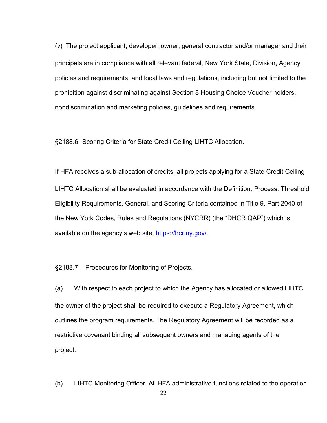(v) The project applicant, developer, owner, general contractor and/or manager and their principals are in compliance with all relevant federal, New York State, Division, Agency policies and requirements, and local laws and regulations, including but not limited to the prohibition against discriminating against Section 8 Housing Choice Voucher holders, nondiscrimination and marketing policies, guidelines and requirements.

§2188.6 Scoring Criteria for State Credit Ceiling LIHTC Allocation.

If HFA receives a sub-allocation of credits, all projects applying for a State Credit Ceiling LIHTC Allocation shall be evaluated in accordance with the Definition, Process, Threshold Eligibility Requirements, General, and Scoring Criteria contained in Title 9, Part 2040 of the New York Codes, Rules and Regulations (NYCRR) (the "DHCR QAP") which is available on the agency's web site, [https://hcr.ny.gov/.](https://hcr.ny.gov/)

§2188.7 Procedures for Monitoring of Projects.

(a) With respect to each project to which the Agency has allocated or allowed LIHTC, the owner of the project shall be required to execute a Regulatory Agreement, which outlines the program requirements. The Regulatory Agreement will be recorded as a restrictive covenant binding all subsequent owners and managing agents of the project.

(b) LIHTC Monitoring Officer. All HFA administrative functions related to the operation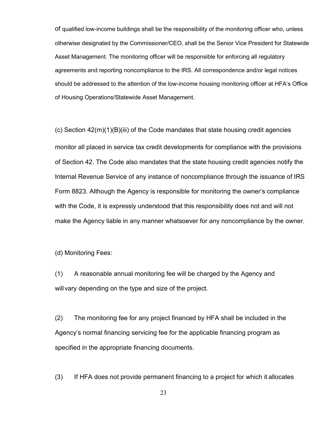of qualified low-income buildings shall be the responsibility of the monitoring officer who, unless otherwise designated by the Commissioner/CEO, shall be the Senior Vice President for Statewide Asset Management. The monitoring officer will be responsible for enforcing all regulatory agreements and reporting noncompliance to the IRS. All correspondence and/or legal notices should be addressed to the attention of the low-income housing monitoring officer at HFA's Office of Housing Operations/Statewide Asset Management.

 $(c)$  Section  $42(m)(1)(B)(iii)$  of the Code mandates that state housing credit agencies monitor all placed in service tax credit developments for compliance with the provisions of Section 42. The Code also mandates that the state housing credit agencies notify the Internal Revenue Service of any instance of noncompliance through the issuance of IRS Form 8823. Although the Agency is responsible for monitoring the owner's compliance with the Code, it is expressly understood that this responsibility does not and will not make the Agency liable in any manner whatsoever for any noncompliance by the owner.

(d) Monitoring Fees:

(1) A reasonable annual monitoring fee will be charged by the Agency and will vary depending on the type and size of the project.

(2) The monitoring fee for any project financed by HFA shall be included in the Agency's normal financing servicing fee for the applicable financing program as specified in the appropriate financing documents.

(3) If HFA does not provide permanent financing to a project for which it allocates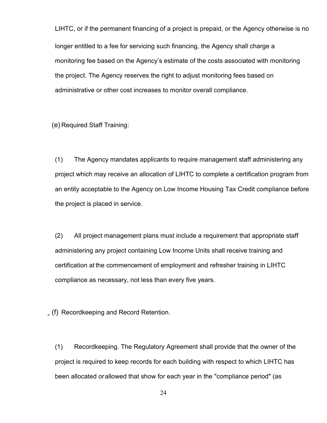LIHTC, or if the permanent financing of a project is prepaid, or the Agency otherwise is no longer entitled to a fee for servicing such financing, the Agency shall charge a monitoring fee based on the Agency's estimate of the costs associated with monitoring the project. The Agency reserves the right to adjust monitoring fees based on administrative or other cost increases to monitor overall compliance.

(e) Required Staff Training:

(1) The Agency mandates applicants to require management staff administering any project which may receive an allocation of LIHTC to complete a certification program from an entity acceptable to the Agency on Low Income Housing Tax Credit compliance before the project is placed in service.

(2) All project management plans must include a requirement that appropriate staff administering any project containing Low Income Units shall receive training and certification at the commencement of employment and refresher training in LIHTC compliance as necessary, not less than every five years.

(f) Recordkeeping and Record Retention.

(1) Recordkeeping. The Regulatory Agreement shall provide that the owner of the project is required to keep records for each building with respect to which LIHTC has been allocated orallowed that show for each year in the "compliance period" (as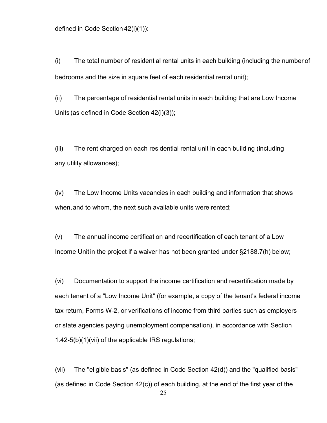defined in Code Section 42(i)(1)):

(i) The total number of residential rental units in each building (including the number of bedrooms and the size in square feet of each residential rental unit);

(ii) The percentage of residential rental units in each building that are Low Income Units (as defined in Code Section 42(i)(3));

(iii) The rent charged on each residential rental unit in each building (including any utility allowances);

(iv) The Low Income Units vacancies in each building and information that shows when,and to whom, the next such available units were rented;

(v) The annual income certification and recertification of each tenant of a Low Income Unitin the project if a waiver has not been granted under §2188.7(h) below;

(vi) Documentation to support the income certification and recertification made by each tenant of a "Low Income Unit" (for example, a copy of the tenant's federal income tax return, Forms W-2, or verifications of income from third parties such as employers or state agencies paying unemployment compensation), in accordance with Section 1.42-5(b)(1)(vii) of the applicable IRS regulations;

(vii) The "eligible basis" (as defined in Code Section 42(d)) and the "qualified basis" (as defined in Code Section 42(c)) of each building, at the end of the first year of the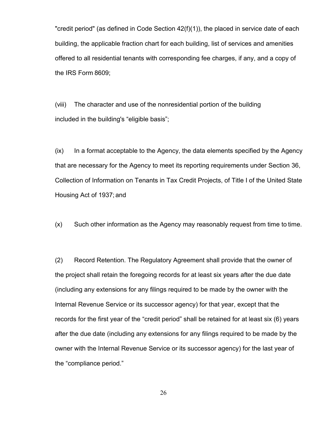"credit period" (as defined in Code Section 42(f)(1)), the placed in service date of each building, the applicable fraction chart for each building, list of services and amenities offered to all residential tenants with corresponding fee charges, if any, and a copy of the IRS Form 8609;

(viii) The character and use of the nonresidential portion of the building included in the building's "eligible basis";

(ix) In a format acceptable to the Agency, the data elements specified by the Agency that are necessary for the Agency to meet its reporting requirements under Section 36, Collection of Information on Tenants in Tax Credit Projects, of Title I of the United State Housing Act of 1937; and

(x) Such other information as the Agency may reasonably request from time to time.

(2) Record Retention. The Regulatory Agreement shall provide that the owner of the project shall retain the foregoing records for at least six years after the due date (including any extensions for any filings required to be made by the owner with the Internal Revenue Service or its successor agency) for that year, except that the records for the first year of the "credit period" shall be retained for at least six (6) years after the due date (including any extensions for any filings required to be made by the owner with the Internal Revenue Service or its successor agency) for the last year of the "compliance period."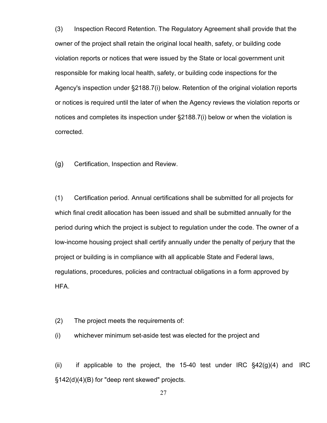(3) Inspection Record Retention. The Regulatory Agreement shall provide that the owner of the project shall retain the original local health, safety, or building code violation reports or notices that were issued by the State or local government unit responsible for making local health, safety, or building code inspections for the Agency's inspection under §2188.7(i) below. Retention of the original violation reports or notices is required until the later of when the Agency reviews the violation reports or notices and completes its inspection under §2188.7(i) below or when the violation is corrected.

(g) Certification, Inspection and Review.

(1) Certification period. Annual certifications shall be submitted for all projects for which final credit allocation has been issued and shall be submitted annually for the period during which the project is subject to regulation under the code. The owner of a low-income housing project shall certify annually under the penalty of perjury that the project or building is in compliance with all applicable State and Federal laws, regulations, procedures, policies and contractual obligations in a form approved by HFA.

- (2) The project meets the requirements of:
- (i) whichever minimum set-aside test was elected for the project and

(ii) if applicable to the project, the 15-40 test under IRC  $\S$ 42(g)(4) and IRC §142(d)(4)(B) for "deep rent skewed" projects.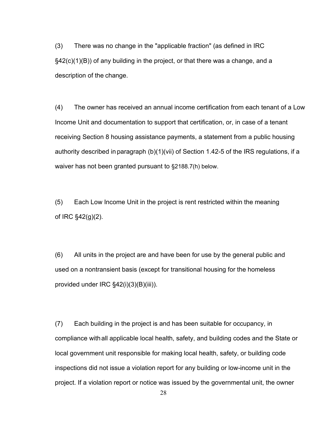(3) There was no change in the "applicable fraction" (as defined in IRC §42(c)(1)(B)) of any building in the project, or that there was a change, and a description of the change.

(4) The owner has received an annual income certification from each tenant of a Low Income Unit and documentation to support that certification, or, in case of a tenant receiving Section 8 housing assistance payments, a statement from a public housing authority described in paragraph (b)(1)(vii) of Section 1.42-5 of the IRS regulations, if a waiver has not been granted pursuant to §2188.7(h) below.

(5) Each Low Income Unit in the project is rent restricted within the meaning of IRC §42(g)(2).

(6) All units in the project are and have been for use by the general public and used on a nontransient basis (except for transitional housing for the homeless provided under IRC §42(i)(3)(B)(iii)).

(7) Each building in the project is and has been suitable for occupancy, in compliance withall applicable local health, safety, and building codes and the State or local government unit responsible for making local health, safety, or building code inspections did not issue a violation report for any building or low-income unit in the project. If a violation report or notice was issued by the governmental unit, the owner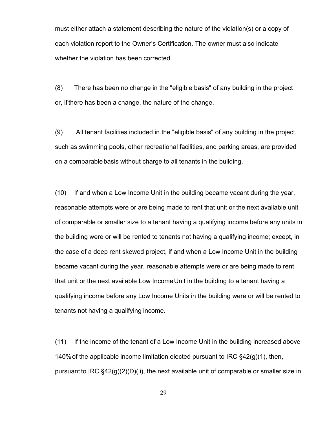must either attach a statement describing the nature of the violation(s) or a copy of each violation report to the Owner's Certification. The owner must also indicate whether the violation has been corrected.

(8) There has been no change in the "eligible basis" of any building in the project or, if there has been a change, the nature of the change.

(9) All tenant facilities included in the "eligible basis" of any building in the project, such as swimming pools, other recreational facilities, and parking areas, are provided on a comparable basis without charge to all tenants in the building.

(10) If and when a Low Income Unit in the building became vacant during the year, reasonable attempts were or are being made to rent that unit or the next available unit of comparable or smaller size to a tenant having a qualifying income before any units in the building were or will be rented to tenants not having a qualifying income; except, in the case of a deep rent skewed project, if and when a Low Income Unit in the building became vacant during the year, reasonable attempts were or are being made to rent that unit or the next available Low IncomeUnit in the building to a tenant having a qualifying income before any Low Income Units in the building were or will be rented to tenants not having a qualifying income.

(11) If the income of the tenant of a Low Income Unit in the building increased above 140% of the applicable income limitation elected pursuant to IRC  $\S$ 42(g)(1), then, pursuant to IRC §42(g)(2)(D)(ii), the next available unit of comparable or smaller size in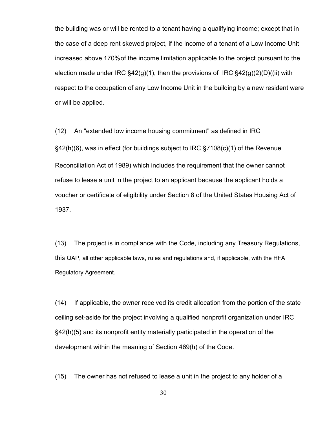the building was or will be rented to a tenant having a qualifying income; except that in the case of a deep rent skewed project, if the income of a tenant of a Low Income Unit increased above 170%of the income limitation applicable to the project pursuant to the election made under IRC  $\S42(q)(1)$ , then the provisions of IRC  $\S42(q)(2)(D)((ii)$  with respect to the occupation of any Low Income Unit in the building by a new resident were or will be applied.

(12) An "extended low income housing commitment" as defined in IRC §42(h)(6), was in effect (for buildings subject to IRC §7108(c)(1) of the Revenue Reconciliation Act of 1989) which includes the requirement that the owner cannot refuse to lease a unit in the project to an applicant because the applicant holds a voucher or certificate of eligibility under Section 8 of the United States Housing Act of 1937.

(13) The project is in compliance with the Code, including any Treasury Regulations, this QAP, all other applicable laws, rules and regulations and, if applicable, with the HFA Regulatory Agreement.

(14) If applicable, the owner received its credit allocation from the portion of the state ceiling set-aside for the project involving a qualified nonprofit organization under IRC §42(h)(5) and its nonprofit entity materially participated in the operation of the development within the meaning of Section 469(h) of the Code.

(15) The owner has not refused to lease a unit in the project to any holder of a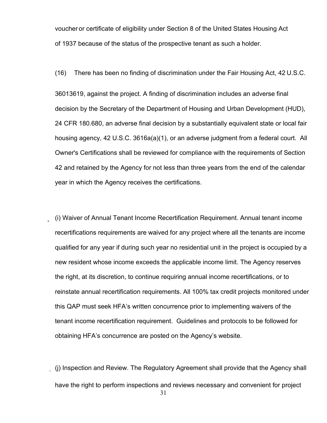voucher or certificate of eligibility under Section 8 of the United States Housing Act of 1937 because of the status of the prospective tenant as such a holder.

(16) There has been no finding of discrimination under the Fair Housing Act, 42 U.S.C.

36013619, against the project. A finding of discrimination includes an adverse final decision by the Secretary of the Department of Housing and Urban Development (HUD), 24 CFR 180.680, an adverse final decision by a substantially equivalent state or local fair housing agency, 42 U.S.C. 3616a(a)(1), or an adverse judgment from a federal court. All Owner's Certifications shall be reviewed for compliance with the requirements of Section 42 and retained by the Agency for not less than three years from the end of the calendar year in which the Agency receives the certifications.

(i) Waiver of Annual Tenant Income Recertification Requirement. Annual tenant income recertifications requirements are waived for any project where all the tenants are income qualified for any year if during such year no residential unit in the project is occupied by a new resident whose income exceeds the applicable income limit. The Agency reserves the right, at its discretion, to continue requiring annual income recertifications, or to reinstate annual recertification requirements. All 100% tax credit projects monitored under this QAP must seek HFA's written concurrence prior to implementing waivers of the tenant income recertification requirement. Guidelines and protocols to be followed for obtaining HFA's concurrence are posted on the Agency's website.

31 (j) Inspection and Review. The Regulatory Agreement shall provide that the Agency shall have the right to perform inspections and reviews necessary and convenient for project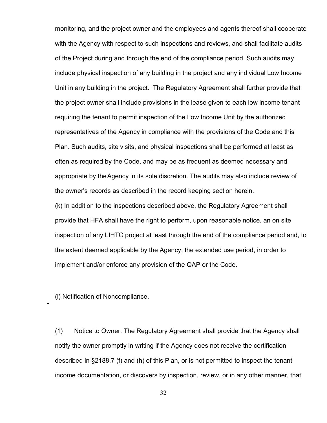monitoring, and the project owner and the employees and agents thereof shall cooperate with the Agency with respect to such inspections and reviews, and shall facilitate audits of the Project during and through the end of the compliance period. Such audits may include physical inspection of any building in the project and any individual Low Income Unit in any building in the project. The Regulatory Agreement shall further provide that the project owner shall include provisions in the lease given to each low income tenant requiring the tenant to permit inspection of the Low Income Unit by the authorized representatives of the Agency in compliance with the provisions of the Code and this Plan. Such audits, site visits, and physical inspections shall be performed at least as often as required by the Code, and may be as frequent as deemed necessary and appropriate by theAgency in its sole discretion. The audits may also include review of the owner's records as described in the record keeping section herein.

(k) In addition to the inspections described above, the Regulatory Agreement shall provide that HFA shall have the right to perform, upon reasonable notice, an on site inspection of any LIHTC project at least through the end of the compliance period and, to the extent deemed applicable by the Agency, the extended use period, in order to implement and/or enforce any provision of the QAP or the Code.

(l) Notification of Noncompliance.

(1) Notice to Owner. The Regulatory Agreement shall provide that the Agency shall notify the owner promptly in writing if the Agency does not receive the certification described in §2188.7 (f) and (h) of this Plan, or is not permitted to inspect the tenant income documentation, or discovers by inspection, review, or in any other manner, that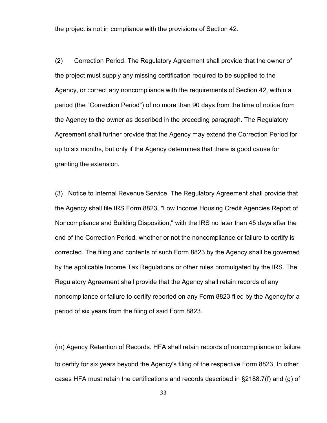the project is not in compliance with the provisions of Section 42.

(2) Correction Period. The Regulatory Agreement shall provide that the owner of the project must supply any missing certification required to be supplied to the Agency, or correct any noncompliance with the requirements of Section 42, within a period (the "Correction Period") of no more than 90 days from the time of notice from the Agency to the owner as described in the preceding paragraph. The Regulatory Agreement shall further provide that the Agency may extend the Correction Period for up to six months, but only if the Agency determines that there is good cause for granting the extension.

(3) Notice to Internal Revenue Service. The Regulatory Agreement shall provide that the Agency shall file IRS Form 8823, "Low Income Housing Credit Agencies Report of Noncompliance and Building Disposition," with the IRS no later than 45 days after the end of the Correction Period, whether or not the noncompliance or failure to certify is corrected. The filing and contents of such Form 8823 by the Agency shall be governed by the applicable Income Tax Regulations or other rules promulgated by the IRS. The Regulatory Agreement shall provide that the Agency shall retain records of any noncompliance or failure to certify reported on any Form 8823 filed by the Agencyfor a period of six years from the filing of said Form 8823.

(m) Agency Retention of Records. HFA shall retain records of noncompliance or failure to certify for six years beyond the Agency's filing of the respective Form 8823. In other cases HFA must retain the certifications and records described in §2188.7(f) and (g) of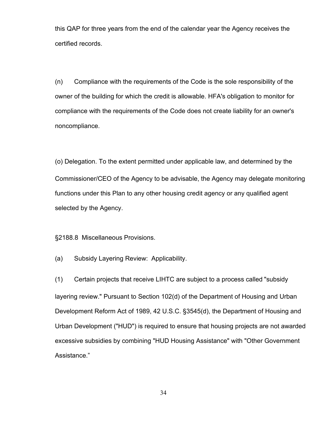this QAP for three years from the end of the calendar year the Agency receives the certified records.

(n) Compliance with the requirements of the Code is the sole responsibility of the owner of the building for which the credit is allowable. HFA's obligation to monitor for compliance with the requirements of the Code does not create liability for an owner's noncompliance.

(o) Delegation. To the extent permitted under applicable law, and determined by the Commissioner/CEO of the Agency to be advisable, the Agency may delegate monitoring functions under this Plan to any other housing credit agency or any qualified agent selected by the Agency.

§2188.8 Miscellaneous Provisions.

(a) Subsidy Layering Review: Applicability.

(1) Certain projects that receive LIHTC are subject to a process called "subsidy layering review." Pursuant to Section 102(d) of the Department of Housing and Urban Development Reform Act of 1989, 42 U.S.C. §3545(d), the Department of Housing and Urban Development ("HUD") is required to ensure that housing projects are not awarded excessive subsidies by combining "HUD Housing Assistance" with "Other Government Assistance."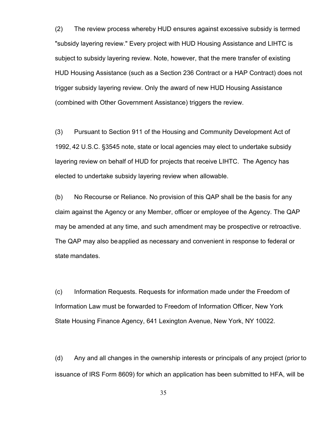(2) The review process whereby HUD ensures against excessive subsidy is termed "subsidy layering review." Every project with HUD Housing Assistance and LIHTC is subject to subsidy layering review. Note, however, that the mere transfer of existing HUD Housing Assistance (such as a Section 236 Contract or a HAP Contract) does not trigger subsidy layering review. Only the award of new HUD Housing Assistance (combined with Other Government Assistance) triggers the review.

(3) Pursuant to Section 911 of the Housing and Community Development Act of 1992, 42 U.S.C. §3545 note, state or local agencies may elect to undertake subsidy layering review on behalf of HUD for projects that receive LIHTC. The Agency has elected to undertake subsidy layering review when allowable.

(b) No Recourse or Reliance. No provision of this QAP shall be the basis for any claim against the Agency or any Member, officer or employee of the Agency. The QAP may be amended at any time, and such amendment may be prospective or retroactive. The QAP may also beapplied as necessary and convenient in response to federal or state mandates.

(c) Information Requests. Requests for information made under the Freedom of Information Law must be forwarded to Freedom of Information Officer, New York State Housing Finance Agency, 641 Lexington Avenue, New York, NY 10022.

(d) Any and all changes in the ownership interests or principals of any project (prior to issuance of IRS Form 8609) for which an application has been submitted to HFA, will be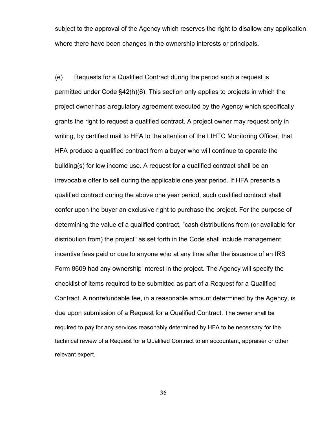subject to the approval of the Agency which reserves the right to disallow any application where there have been changes in the ownership interests or principals.

(e) Requests for a Qualified Contract during the period such a request is permitted under Code §42(h)(6). This section only applies to projects in which the project owner has a regulatory agreement executed by the Agency which specifically grants the right to request a qualified contract. A project owner may request only in writing, by certified mail to HFA to the attention of the LIHTC Monitoring Officer, that HFA produce a qualified contract from a buyer who will continue to operate the building(s) for low income use. A request for a qualified contract shall be an irrevocable offer to sell during the applicable one year period. If HFA presents a qualified contract during the above one year period, such qualified contract shall confer upon the buyer an exclusive right to purchase the project. For the purpose of determining the value of a qualified contract, "cash distributions from (or available for distribution from) the project" as set forth in the Code shall include management incentive fees paid or due to anyone who at any time after the issuance of an IRS Form 8609 had any ownership interest in the project. The Agency will specify the checklist of items required to be submitted as part of a Request for a Qualified Contract. A nonrefundable fee, in a reasonable amount determined by the Agency, is due upon submission of a Request for a Qualified Contract. The owner shall be required to pay for any services reasonably determined by HFA to be necessary for the technical review of a Request for a Qualified Contract to an accountant, appraiser or other relevant expert.